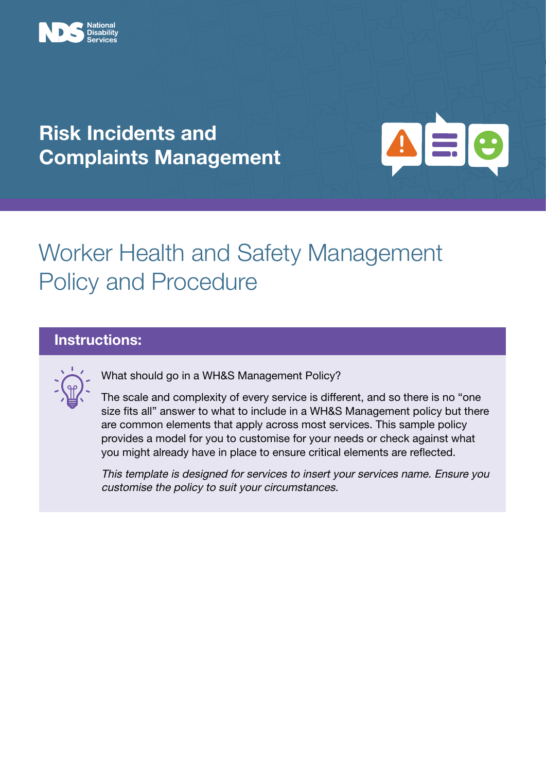

### Risk Incidents and Complaints Management



# Worker Health and Safety Management Policy and Procedure

### Instructions:

What should go in a WH&S Management Policy?

The scale and complexity of every service is different, and so there is no "one size fits all" answer to what to include in a WH&S Management policy but there are common elements that apply across most services. This sample policy provides a model for you to customise for your needs or check against what you might already have in place to ensure critical elements are reflected.

This template is designed for services to insert your services name. Ensure you customise the policy to suit your circumstances.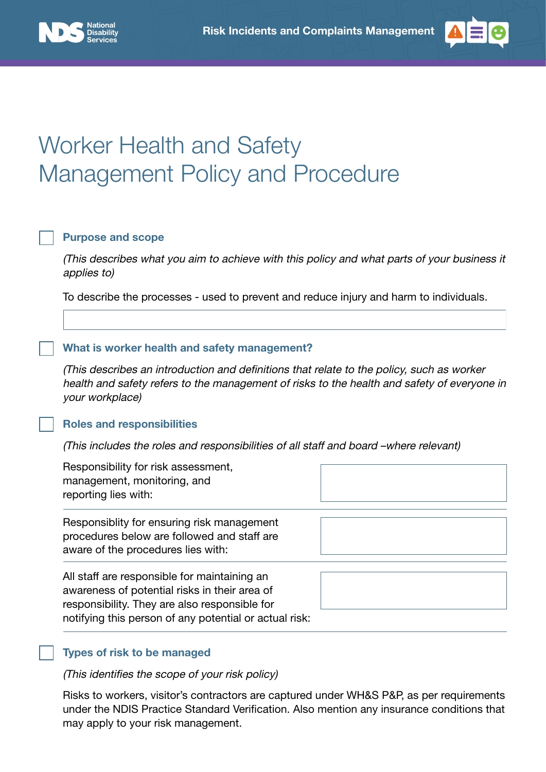



# Worker Health and Safety Management Policy and Procedure

#### Purpose and scope

(This describes what you aim to achieve with this policy and what parts of your business it applies to)

To describe the processes - used to prevent and reduce injury and harm to individuals.

#### What is worker health and safety management?

(This describes an introduction and definitions that relate to the policy, such as worker health and safety refers to the management of risks to the health and safety of everyone in your workplace)

#### Roles and responsibilities

(This includes the roles and responsibilities of all staff and board –where relevant)

| Responsibility for risk assessment,<br>management, monitoring, and<br>reporting lies with:                                                                                                               |  |
|----------------------------------------------------------------------------------------------------------------------------------------------------------------------------------------------------------|--|
| Responsiblity for ensuring risk management<br>procedures below are followed and staff are<br>aware of the procedures lies with:                                                                          |  |
| All staff are responsible for maintaining an<br>awareness of potential risks in their area of<br>responsibility. They are also responsible for<br>notifying this person of any potential or actual risk: |  |

#### Types of risk to be managed

(This identifies the scope of your risk policy)

Risks to workers, visitor's contractors are captured under WH&S P&P, as per requirements under the NDIS Practice Standard Verification. Also mention any insurance conditions that may apply to your risk management.